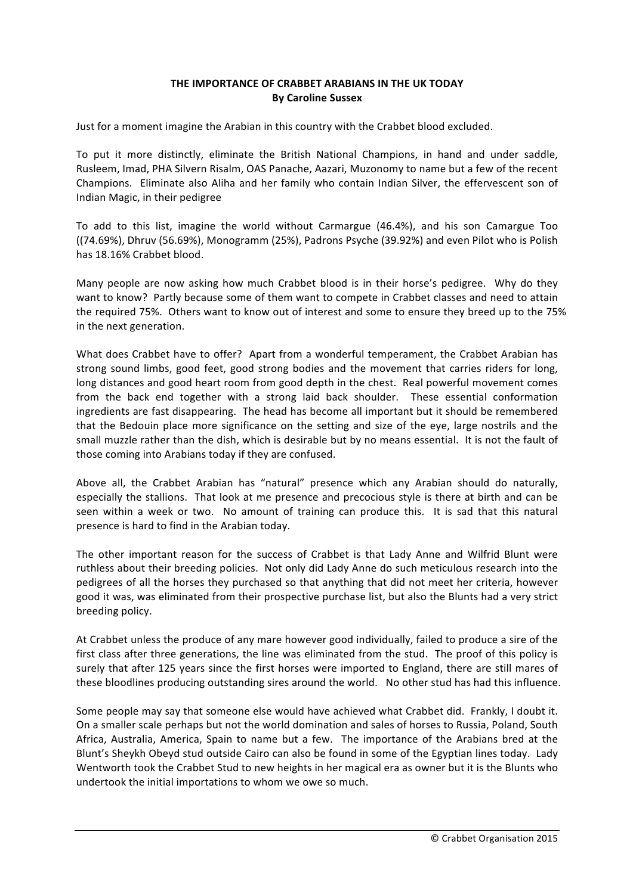## **THE IMPORTANCE OF CRABBET ARABIANS IN THE UK TODAY By Caroline Sussex**

Just for a moment imagine the Arabian in this country with the Crabbet blood excluded.

To put it more distinctly, eliminate the British National Champions, in hand and under saddle, Rusleem, Imad, PHA Silvern Risalm, OAS Panache, Aazari, Muzonomy to name but a few of the recent Champions. Eliminate also Aliha and her family who contain Indian Silver, the effervescent son of Indian Magic, in their pedigree

To add to this list, imagine the world without Carmargue (46.4%), and his son Camargue Too  $(74.69%)$ , Dhruv  $(56.69%)$ , Monogramm  $(25%)$ , Padrons Psyche  $(39.92%)$  and even Pilot who is Polish has 18.16% Crabbet blood.

Many people are now asking how much Crabbet blood is in their horse's pedigree. Why do they want to know? Partly because some of them want to compete in Crabbet classes and need to attain the required 75%. Others want to know out of interest and some to ensure they breed up to the 75% in the next generation.

What does Crabbet have to offer? Apart from a wonderful temperament, the Crabbet Arabian has strong sound limbs, good feet, good strong bodies and the movement that carries riders for long, long distances and good heart room from good depth in the chest. Real powerful movement comes from the back end together with a strong laid back shoulder. These essential conformation ingredients are fast disappearing. The head has become all important but it should be remembered that the Bedouin place more significance on the setting and size of the eve, large nostrils and the small muzzle rather than the dish, which is desirable but by no means essential. It is not the fault of those coming into Arabians today if they are confused.

Above all, the Crabbet Arabian has "natural" presence which any Arabian should do naturally, especially the stallions. That look at me presence and precocious style is there at birth and can be seen within a week or two. No amount of training can produce this. It is sad that this natural presence is hard to find in the Arabian today.

The other important reason for the success of Crabbet is that Lady Anne and Wilfrid Blunt were ruthless about their breeding policies. Not only did Lady Anne do such meticulous research into the pedigrees of all the horses they purchased so that anything that did not meet her criteria, however good it was, was eliminated from their prospective purchase list, but also the Blunts had a very strict breeding policy.

At Crabbet unless the produce of any mare however good individually, failed to produce a sire of the first class after three generations, the line was eliminated from the stud. The proof of this policy is surely that after 125 years since the first horses were imported to England, there are still mares of these bloodlines producing outstanding sires around the world. No other stud has had this influence.

Some people may say that someone else would have achieved what Crabbet did. Frankly, I doubt it. On a smaller scale perhaps but not the world domination and sales of horses to Russia, Poland, South Africa, Australia, America, Spain to name but a few. The importance of the Arabians bred at the Blunt's Sheykh Obeyd stud outside Cairo can also be found in some of the Egyptian lines today. Lady Wentworth took the Crabbet Stud to new heights in her magical era as owner but it is the Blunts who undertook the initial importations to whom we owe so much.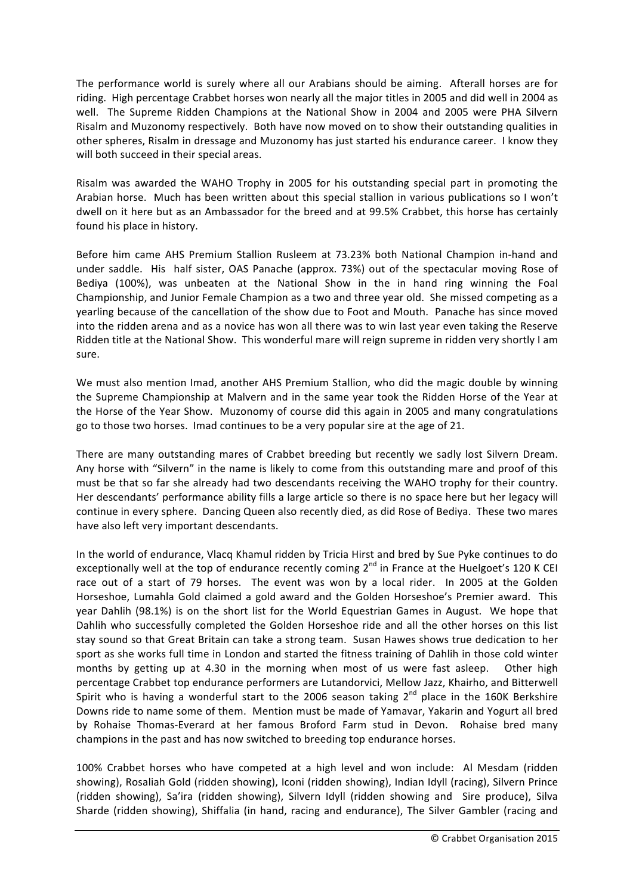The performance world is surely where all our Arabians should be aiming. Afterall horses are for riding. High percentage Crabbet horses won nearly all the major titles in 2005 and did well in 2004 as well. The Supreme Ridden Champions at the National Show in 2004 and 2005 were PHA Silvern Risalm and Muzonomy respectively. Both have now moved on to show their outstanding qualities in other spheres, Risalm in dressage and Muzonomy has just started his endurance career. I know they will both succeed in their special areas.

Risalm was awarded the WAHO Trophy in 2005 for his outstanding special part in promoting the Arabian horse. Much has been written about this special stallion in various publications so I won't dwell on it here but as an Ambassador for the breed and at 99.5% Crabbet, this horse has certainly found his place in history.

Before him came AHS Premium Stallion Rusleem at 73.23% both National Champion in-hand and under saddle. His half sister, OAS Panache (approx. 73%) out of the spectacular moving Rose of Bediya (100%), was unbeaten at the National Show in the in hand ring winning the Foal Championship, and Junior Female Champion as a two and three year old. She missed competing as a yearling because of the cancellation of the show due to Foot and Mouth. Panache has since moved into the ridden arena and as a novice has won all there was to win last year even taking the Reserve Ridden title at the National Show. This wonderful mare will reign supreme in ridden very shortly I am sure.

We must also mention Imad, another AHS Premium Stallion, who did the magic double by winning the Supreme Championship at Malvern and in the same year took the Ridden Horse of the Year at the Horse of the Year Show. Muzonomy of course did this again in 2005 and many congratulations go to those two horses. Imad continues to be a very popular sire at the age of 21.

There are many outstanding mares of Crabbet breeding but recently we sadly lost Silvern Dream. Any horse with "Silvern" in the name is likely to come from this outstanding mare and proof of this must be that so far she already had two descendants receiving the WAHO trophy for their country. Her descendants' performance ability fills a large article so there is no space here but her legacy will continue in every sphere. Dancing Queen also recently died, as did Rose of Bediya. These two mares have also left very important descendants.

In the world of endurance, Vlacq Khamul ridden by Tricia Hirst and bred by Sue Pyke continues to do exceptionally well at the top of endurance recently coming  $2^{nd}$  in France at the Huelgoet's 120 K CEI race out of a start of 79 horses. The event was won by a local rider. In 2005 at the Golden Horseshoe, Lumahla Gold claimed a gold award and the Golden Horseshoe's Premier award. This vear Dahlih (98.1%) is on the short list for the World Equestrian Games in August. We hope that Dahlih who successfully completed the Golden Horseshoe ride and all the other horses on this list stay sound so that Great Britain can take a strong team. Susan Hawes shows true dedication to her sport as she works full time in London and started the fitness training of Dahlih in those cold winter months by getting up at 4.30 in the morning when most of us were fast asleep. Other high percentage Crabbet top endurance performers are Lutandorvici, Mellow Jazz, Khairho, and Bitterwell Spirit who is having a wonderful start to the 2006 season taking  $2^{nd}$  place in the 160K Berkshire Downs ride to name some of them. Mention must be made of Yamavar, Yakarin and Yogurt all bred by Rohaise Thomas-Everard at her famous Broford Farm stud in Devon. Rohaise bred many champions in the past and has now switched to breeding top endurance horses.

100% Crabbet horses who have competed at a high level and won include: Al Mesdam (ridden showing), Rosaliah Gold (ridden showing), Iconi (ridden showing), Indian Idyll (racing), Silvern Prince (ridden showing), Sa'ira (ridden showing), Silvern Idyll (ridden showing and Sire produce), Silva Sharde (ridden showing), Shiffalia (in hand, racing and endurance), The Silver Gambler (racing and